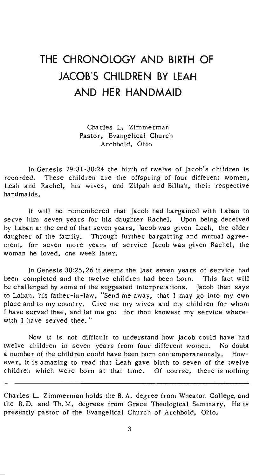# **THE CHRONOLOGY AND BIRTH OF JACOB'S CHILDREN BY LEAH AND HER HANDMAID**

Charles L. Zimmerman Pastor, Evangelical Church Archbold, Ohio

In Genesis 29:31-30:24 the birth of twelve of Jacob's children is recorded. These children are the offspring of four different women, Leah and Rachel, his wives, and Zilpah and Bilhah, their respective handmaids.

It will be remembered that Jacob had bargained with Laban to serve him seven years for his daughter Rachel. Upon being deceived by Laban at the end of that seven years, Jacob was given Leah, the older daughter of the family. Through further bargaining and mutual agreement, for seven more years of service Jacob was given Rachel, the woman he loved, one week later,

In Genesis 30:25,26 it seems the last seven years of service had been completed and the twelve children had been born. This fact will be challenged by some of the suggested interpretations. Jacob then says to Laban, his father-in-law, "Send me away, that I may go into my own place and to my country. Give me my wives and my children for whom I have served thee, and let me go: for thou knowest my service wherewith I have served thee. "

Now it is not difficult to understand how Jacob could have had twelve children in seven years from four different women, No doubt a number of the children could have been born contemporaneously. However, it is amazing to read that Leah gave birth to seven of the twelve children which were born at that time. Of course, there is nothing

Charles L. Zimmerman holds the B. A. degree from Wheaton College, and the B. D. and Th. M. degrees from Grace Theological Seminary. He is presently pastor of the Evangelical Church of Archbold, Ohio.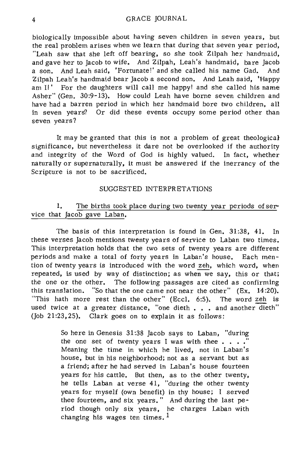biologically impossible about having seven children in seven years, but the real problem arises when we learn that during that seven year period, "Leah saw that she left off bearing, so she took Zilpah her handmaid, and gave her to Jacob to wife. And Zilpah, Leah's handmaid, bare Jacob a son. And Leah said, 'Portunate!' and she called his name Gad. And Zilpah Leah's handmaid bear Jacob a second son. And Leah said, 'Happy am I!' For the daughters will call me happy! and she called his name Asher" (Gen. 30:9-13). How could Leah have borne seven children and have had a barren period in which her handmaid bore two children, all in seven years? Or did these events occupy some period other than seven years?

It may be granted that this is not a problem of great theological significance, but nevertheless it dare not be overlooked if the authority and integrity of the Word of God is highly valued, In fact, whether naturally or supernaturally, it must be answered if the inerrancy of the Scripture is not to be sacrificed.

#### SUGGESTED INTERPRETATIONS

# **1.** The births took place during two twenty year periods of service that Jacob gave Laban.

The basis of this interpretation is found in Gen. 31:38, 41. In these verses Jacob mentions twenty years of service to Laban two times. This interpretation holds that the two sets of twenty years are different periods and make a total of forty years in Laban's house. Each mention of twenty years is introduced with the word zeh, which word, when repeated, is used by way of distinction; as when we say, this or that; the one or the other. The following passages are cited as confirming this translation. "So that the one came not near the other" (Ex. 14:20). "This hath more rest than the other" (Eccl. 6:5). The word zeh is used twice at a greater distance, "one dieth . . . and another dieth" (Joh 21:23,25). Clark goes on to explain it as follows:

> So here in Genesis 31 :38 Jacob says to Laban, "during the one set of twenty years I was with thee  $\ldots$ Meaning the time in which he lived, not in Laban's house, but in his neighborhood; not as a servant but as a friend; after he had served in Laban's house fourteen years for his cattle. But then, as to the other twenty, he tells Laban at verse 41, "during the other twenty years for myself (own benefit) in thy house; I served thee fourteen, and six years." And during the last period though only six years, he charges Laban with changing his wages ten times.  $<sup>1</sup>$ </sup>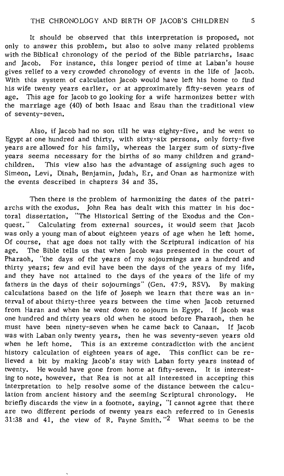It should be observed that *this interpretation is* proposed, not only to answer *this* problem, but also to solve many related problems with the Biblical chronology of the period of the Bible patriarchs, Isaac and Jacob. For instance, this longer *period* of *time* at Laban's house *gives* relief to a very crowded chronology of events *in* the life of Jacob. With this system of calculation Jacob would have left his home to find his wife twenty years earlier, or at approximately fifty-seven years of age. *This* age for Jacob to go looking for a *wife* harmonizes better *with*  the marriage age (40) of both Isaac and Esau than the traditional view of seventy-seven.

Also, if Jacob had no son till he was eighty-five, and he went to Egypt at one hundred and thirty, with sixty-six persons, only forty-five years are allowed for his family, whereas the larger sum of sixty-five years seems necessary for the births of so many children and grandchildren. This view also has the advantage of assigning such ages to Simeon, Levi, Dinah, Benjamin, Judah, Er, and Onan as harmonize with the events described in chapters 34 and 35.

Then there is the problem of harmonizing the dates of the patriarchs with the exodus. John Rea has dealt with this matter *in* his doctoral dissertation, "The Historical Setting of the Exodus and the Conquest." Calculating from external sources, it would seem that Jacob was only a young man of about eighteen years of age when he left home. Of course, that age does not tally with the Scriptural *indication* of his age. The Bible tells us that when Jacob was presented *in* the court of Pharaoh, "the days of the years of my sojournings are a hundred and thirty years; few and evil have been the days of the years of my life, and they have not attained to the days of the years of the life of my fathers in the days of *their* sojournings" (Gen. 47:9, RSV). By making calculations based on the life of Joseph we learn that there was an *in*terval of about thirty-three years between the *time* when Jacob returned from Haran and when he went down to sojourn in Egypt. If Jacob was one hundred and thirty years old when he stood before Pharaoh, then he must have been ninety-seven when he came back to Canaan. If Jacob was with Laban only twenty years, then he was seventy-seven years old when he left home. *This is* an extreme contradiction with the ancient history calculation of eighteen years of age. This conflict can be relieved a *bit* by making Jacob's stay *with* Laban forty years instead of twenty. He would have gone from home at fifty-seven. It is *interesting* to note, however, that Rea is not at all *interested* in accepting *this*  interpretation to help resolve some of the *distance* between the calculation from ancient history and the seeming Scriptural chronology. He briefly *discards* the view *in* a footnote, saying, "I cannot agree that there are two different periods of twenty years each referred to *in* Genesis 31:38 and 41, the view of R. Payne *Smith.* "2 What seems to be the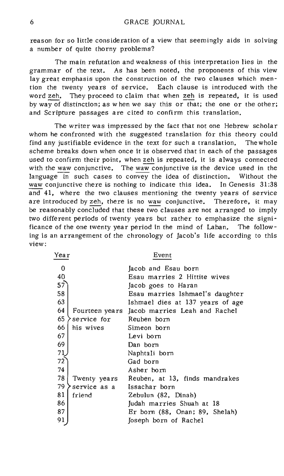reason for so little consideration of a view that seemingly aids in solving a number of quite thorny problems?

The main refutation and weakness of this interpretation lies in the grammar of the text. As has been noted, the proponents of this view lay great emphasis upon the construction of the two clauses which mention the twenty years of service. Each clause is introduced with the word zeh. They proceed to claim that when zeh is repeated, it is used by way of distinction; as when we say this or that; the one or the other; and Scripture passages are cited to confirm this translation.

The writer was impressed by the fact that not one Hebrew scholar whom he confronted with the suggested translation for this theory could find any justifiable evidence in the text for such a translation. The whole scheme breaks down when once it is observed that in each of the passages used to confirm their point, when zeh is repeated, it is always connected with the waw conjunctive. The waw conjunctive is the device used in the language in such cases to convey the idea of distinction. Without the waw conjunctive there is nothing to indicate this idea. In Genesis 31:38 and 41, where the two clauses mentioning the twenty years of service are introduced by zeh, there is no waw conjunctive. Therefore, it may be reasonably concluded that these two clauses are not arranged to imply two different periods of twenty years but rather to emphasize the significance of the one twenty year period in the mind of Laban. The following is an arrangement of the chronology of Jacob's life according to this **view:** 

| Yea r |                         | Event                                        |
|-------|-------------------------|----------------------------------------------|
| 0     |                         | Jacob and Esau born                          |
| 40    |                         | Esau marries 2 Hittite wives                 |
| 57    |                         | Jacob goes to Haran                          |
| 58    |                         | Esau marries Ishmael's daughter              |
| 63    |                         | Ishmael dies at 137 years of age             |
| 64    |                         | Fourteen years Jacob marries Leah and Rachel |
| 65    | service for Reuben born |                                              |
| 66    | his wives               | Simeon born                                  |
| 67    |                         | Levi born                                    |
| 69    |                         | Dan born                                     |
| 71    |                         | Naphtali born                                |
| 72    |                         | Gad born                                     |
| 74    |                         | Asher born                                   |
| 78    |                         | Twenty years Reuben, at 13, finds mandrakes  |
| 79    | service as a            | Issachar born                                |
| 81    | friend                  | Zebulun (82, Dinah)                          |
| 86    |                         | Judah marries Shuah at 18                    |
| 87    |                         | Er born (88, Onan; 89, Shelah)               |
| 91    |                         | Joseph born of Rachel                        |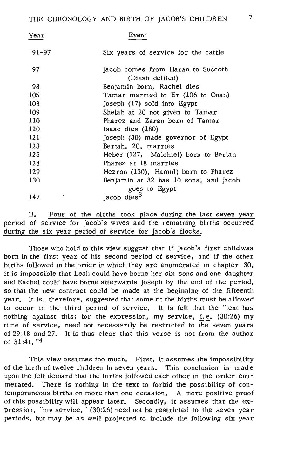| Year      | Event                                                  |
|-----------|--------------------------------------------------------|
| $91 - 97$ | Six years of service for the cattle                    |
| 97        | Jacob comes from Haran to Succoth<br>(Dinah defiled)   |
| 98        | Benjamin born, Rachel dies                             |
| 105       | Tamar married to Er (106 to Onan)                      |
| 108       | Joseph (17) sold into Egypt                            |
| 109       | Shelah at 20 not given to Tamar                        |
| 110       | Pharez and Zaran born of Tamar                         |
| 120       | $Isaac$ dies $(180)$                                   |
| 121       | Joseph (30) made governor of Egypt                     |
| 123       | Beriah, 20, marries                                    |
| 125       | Heber (127, Malchiel) born to Beriah                   |
| 128       | Pharez at 18 marries                                   |
| 129       | Hezron (130), Hamul) born to Pharez                    |
| 130       | Benjamin at 32 has 10 sons, and Jacob<br>goes to Egypt |
| 147       | Jacob dies <sup>3</sup>                                |

|  |                                                                       |  |  | Four of the births took place during the last seven year |  |  |
|--|-----------------------------------------------------------------------|--|--|----------------------------------------------------------|--|--|
|  | period of service for Jacob's wives and the remaining births occurred |  |  |                                                          |  |  |
|  | during the six year period of service for Jacob's flocks.             |  |  |                                                          |  |  |

Those who hold to this view suggest that if Jacob's first child was born in the first year of his second period of service, and if the other births followed in the order in which they are enumerated in chapter 30, it is impossible that Leah could have borne her six sons and one daughter and Rachel could have borne afterwards Joseph by the end of the period, so that the new contract could be made at the beginning of the fifteenth year. It is, therefore, suggested that some cf the births must be allowed to occur in the third period of service. It is felt that the "text has nothing against this; for the expression, my service, i.e.  $(30:26)$  my time of service, need not necessarily be restricted to the seven years of 29 :18 and 27. It is thus clear that this verse is not from the author of 31 :41. "4

This view assumes too much. First, it assumes the impossibility of the birth of twelve children in seven years. This conclusion is made upon the felt demand that the births followed each other in the order enumerated. There is nothing in the text to forbid the possibility of contemporaneous births on mOre than one occasion. A more positive proof of this possihility will appear later. Secondly, it assumes that the expression, "my service, " (30:26) need not be restricted to the seven year periods, but may be as well projected to include the following six year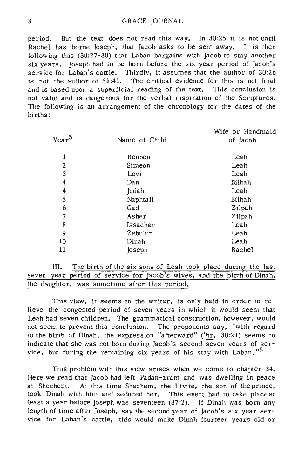period. But the text does not read this way. In 30:25 it is not until Rachel has borne Joseph, that Jacob asks to be sent away. It is then following this (30:27-30) that Laban bargains with Jacob to stay another six years. Joseph had to be born before the six year period of Jacob's service for Laban's cattle. Thirdly, it assumes that the author of 30:26 is not the author of 31:41. The critical evidence for this is not final and is based upon a superficial reading of the text. This conclusion is not valid and is dangerous for the verbal inspiration of the Scriptures. The following is an arrangement of the chronology for the dates of the births:

|                |               | Wife or Handmaid |
|----------------|---------------|------------------|
| $Year^5$       | Name of Child | of Jacob         |
| ı              | Reuben        | Leah             |
| $\overline{2}$ | Simeon        | Leah             |
| 3              | Levi          | Leah             |
| 4              | Dan           | Bilhah           |
| 4              | Judah         | Leah             |
| 5              | Naphtali      | Bilhah           |
| 6              | Gad           | Zilpah           |
| 7              | Asher         | Zilpah           |
| 8              | Issachar      | Leah             |
| 9              | Zebulun       | Leah             |
| 10             | Dinah         | Leah             |
| 11             | Joseph        | Rachel           |
|                |               |                  |

**III.** The birth of the six sons of Leah took place during the last seven year period of service for Jacob's wives, and the birth of Dinah. the daughter, was sometime after this period.

This view, it seems to the writer, is only held in order to relieve the congested period of seven years in which it would seem that Leah had seven children. The grammatical construction, however, would not seem to prevent this conclusion. The proponents say, "with regard to the birth of Dinah, the expression "afterward" ('hr, 30:21) seems to indicate that she was not born during Jacob's second seven years of service, but during the remaining six years of his stay with Laban.  $6$ 

This problem with this view arises when we come to chapter 34. Here we read that Jacob had left Padan-aram and was dwelling in peace at Shechem. At this time Shechem, the Hivite, the Son of the prince, took Dinah with him and seduced her. This event had to take place at least a year before Joseph was seventeen (37:2). If Dinah was born any length of time after Joseph, say the second year of Jacob's six year service for Laban's cattle, this would make Dinah fourteen years old or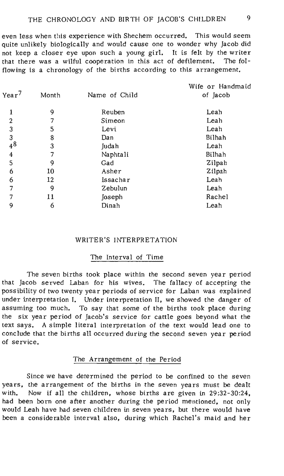even less when this experience with Shechem occurred. This would seem quite unlikely biologically and would cause one to wonder why Jacob did not keep a closer eye upon such a young girl. It is felt by the writer that there was a wilful cooperation in this act of defilement. The folflowing is a chronology of the births according to this arrangement.

| Year <sup>7</sup> | Month | Name of Child | Wife or Handmaid<br>of Jacob |
|-------------------|-------|---------------|------------------------------|
| ı                 | 9     | Reuben        | Leah                         |
| $\overline{2}$    | 7     | Simeon        | Leah                         |
| 3                 | 5     | Levi          | Leah                         |
| 3                 | 8     | Dan           | Bilhah                       |
| 48                | 3     | Judah         | Leah                         |
| 4                 | 7     | Naphtali      | Bilhah                       |
| 5                 | 9     | Gad           | Zilpah                       |
| 6                 | 10    | Asher         | Zilpah                       |
| 6                 | 12    | Issachar      | Leah                         |
| 7                 | ٩     | Zebulun       | Leah                         |
| 7                 | 11    | Joseph        | Rachel                       |
| 9                 | 6     | Dinah         | Leah                         |
|                   |       |               |                              |

# WRITER'S INTERPRETATION

### The Interval of Time

The seven births took place within the second seven year period that Jacob served Laban for his wives. The fallacy of accepting the possibility of two twenty year periods of service for Laban was explained under interpretation I. Under interpretation II, we showed the danger of assuming too much. To say that some of the births took place during the six year period of Jacob's service for cattle goes beyond what the text says. A simple literal interpretation of the text would lead one to conclude that the births all occurred during the second seven year period of service.

#### The Arrangement of the Period

Since we have determined the period to be confined to the seven years, the arrangement of the births in the seven years must be dealt with. Now if all the children, whose births are given in 29:32-30:24, had been born one after another during the period mentioned, not only would Leah have had seven children in seven years, but there would have been a considerable interval also, during which Rachel's maid and her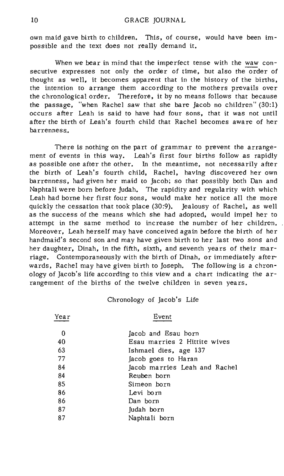own maid gave birth to children. This, of course, would have been impossible and the text does not really demand it.

When we bear in mind that the imperfect tense with the waw consecutive expresses not only the order of time, but also the Order of thought as well, it becomes apparent that in the history of the births, the intention to arrange them according to the mothers prevails over the chronological order. Therefore, it by no means follows that because the passage, "when Rachel saw that she bare Jacob no children" (30:1) occurs after Leah is said to have had four sons, that it was not until after the birth of Leah's fourth child that Rachel becomes aware of her barrenness .•

There is nothing on the part of grammar to prevent the arrangement of events in this way. Leah's first four births follow as rapidly as possible one after the other. In the meantime, not necessarily after the birth of Leah's fourth child, Rachel, having discovered her own barrenness, had given her maid to Jacob; so that possibly both Dan and Naphtali were born before Judah. The rapidity and regularity with which Leah had borne her first four sons, would make her notice all the more quickly the cessation that took place (30:9). Jealousy of Rachel, as well as the success of the means which she had adopted, would impel her to attempt in the same method to increase the number of her children. Moreover, Leah herself may have conceived again before the birth of her handmaid's second son and may have given birth to her last two sons and her daughter, Dinah, in the fifth, sixth, and seventh years of their marriage. Contemporaneously with the birth of Dinah, or immediately afterwards, Rachel may have given birth to Joseph. The following is a chronology of JaCOb's life according to this view and a chart indicating the arrangement of the births of the twelve children in seven years.

#### Chronology of Jacob's Life

| Year | Event                         |  |  |  |
|------|-------------------------------|--|--|--|
| 0    | Jacob and Esau born           |  |  |  |
| 40   | Esau marries 2 Hittite wives  |  |  |  |
| 63   | Ishmael dies, age 137         |  |  |  |
| 77   | acob goes to Haran            |  |  |  |
| 84   | Jacob marries Leah and Rachel |  |  |  |
| 84   | Reuben born                   |  |  |  |
| 85   | Simeon born                   |  |  |  |
| 86   | Levi born                     |  |  |  |
| 86   | Dan born                      |  |  |  |
| 87   | Judah born                    |  |  |  |
| 87   | Naphtali born                 |  |  |  |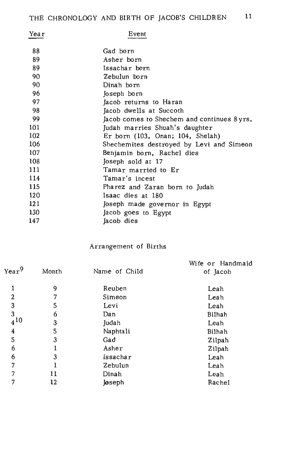| Year | Event                                       |
|------|---------------------------------------------|
| 88   | Gad born                                    |
| 89   | Asher born                                  |
| 89   | Issachar born                               |
| 90   | Zebulun born                                |
| 90   | Dinah born                                  |
| 96   | Joseph born                                 |
| 97   | Jacob returns to Haran                      |
| 98   | Jacob dwells at Succoth                     |
| 99   | Jacob comes to Shechem and continues 8 yrs. |
| 101  | Judah marries Shuah's daughter              |
| 102  | Er born (103, Onan; 104, Shelah)            |
| 106  | Shechemites destroyed by Levi and Simeon    |
| 107  | Benjamin born, Rachel dies                  |
| 108  | Joseph sold at 17                           |
| 111  | Tamar married to Er                         |
| 114  | Tamar's incest                              |
| 115  | Pharez and Zaran born to Judah              |
| 120  | Isaac dies at 180                           |
| 121  | Joseph made governor in Egypt               |
| 130  | Jacob goes to Egypt                         |
| 147  | Jacob dies                                  |

Arrangement of Births

|                   |       |               | Wife or Handmaid |
|-------------------|-------|---------------|------------------|
| Year <sup>9</sup> | Month | Name of Child | of Jacob         |
| ı                 | 9     | Reuben        | Leah             |
| $\overline{2}$    |       | Simeon        | Leah             |
| 3                 | 5     | Levi          | Leah             |
| 3                 | 6     | Dan           | Bilhah           |
| $4^{10}$          | 3     | Judah         | Leah             |
| 4                 | 5     | Naphtali      | Bilhah           |
| 5                 | 3     | Gad           | Zilpah           |
| 6                 |       | Asher         | Zilpah           |
| 6                 | 3     | Issachar      | Leah             |
| 7                 |       | Zebulun       | Leah             |
| 7                 | 11    | Dinah         | Leah             |
| 7                 | 12    | <b>Joseph</b> | Rachel           |
|                   |       |               |                  |